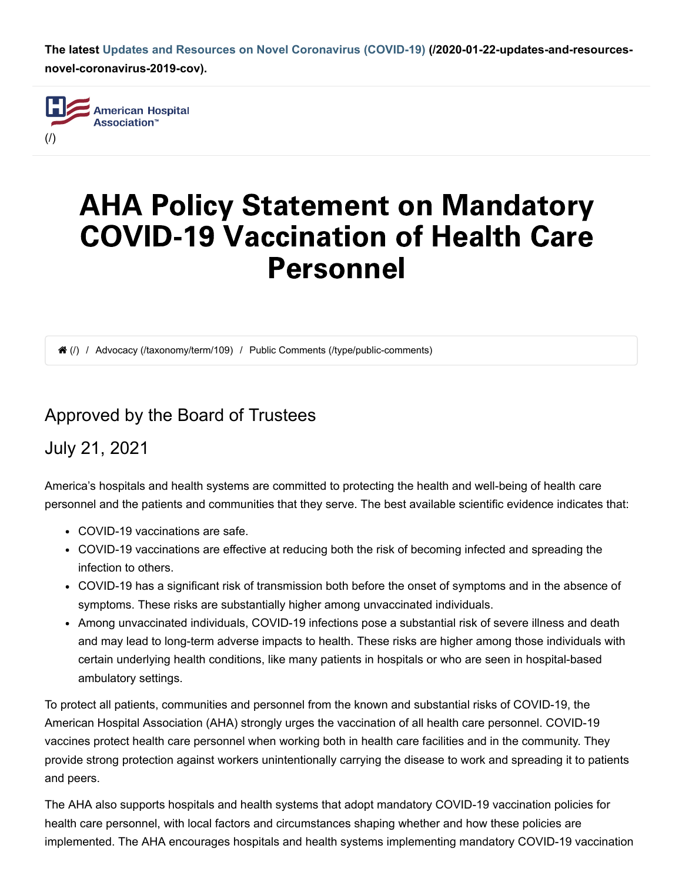**The latest [Updates and Resources on Novel Coronavirus \(COVID-19\) \(/2020-01-22-updates-and-resources](https://www.aha.org/2020-01-22-updates-and-resources-novel-coronavirus-2019-cov)novel-coronavirus-2019-cov).**



# AHA Policy Statement on Mandatory COVID-19 Vaccination of Health Care Personnel

(/) / Advocacy [\(/taxonomy/term/109\)](https://www.aha.org/taxonomy/term/109) / Public Comments [\(/type/public-comments\)](https://www.aha.org/type/public-comments)

### Approved by the Board of Trustees

### July 21, 2021

America's hospitals and health systems are committed to protecting the health and well-being of health care personnel and the patients and communities that they serve. The best available scientific evidence indicates that:

- COVID-19 vaccinations are safe.
- COVID-19 vaccinations are effective at reducing both the risk of becoming infected and spreading the infection to others.
- COVID-19 has a significant risk of transmission both before the onset of symptoms and in the absence of symptoms. These risks are substantially higher among unvaccinated individuals.
- Among unvaccinated individuals, COVID-19 infections pose a substantial risk of severe illness and death and may lead to long-term adverse impacts to health. These risks are higher among those individuals with certain underlying health conditions, like many patients in hospitals or who are seen in hospital-based ambulatory settings.

To protect all patients, communities and personnel from the known and substantial risks of COVID-19, the American Hospital Association (AHA) strongly urges the vaccination of all health care personnel. COVID-19 vaccines protect health care personnel when working both in health care facilities and in the community. They provide strong protection against workers unintentionally carrying the disease to work and spreading it to patients and peers.

The AHA also supports hospitals and health systems that adopt mandatory COVID-19 vaccination policies for health care personnel, with local factors and circumstances shaping whether and how these policies are implemented. The AHA encourages hospitals and health systems implementing mandatory COVID-19 vaccination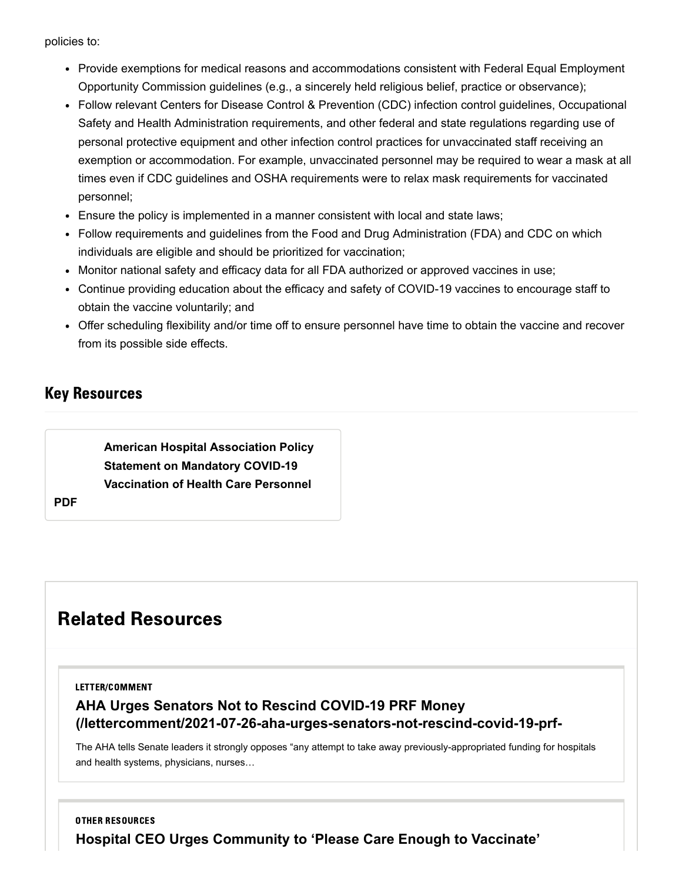policies to:

- Provide exemptions for medical reasons and accommodations consistent with Federal Equal Employment Opportunity Commission guidelines (e.g., a sincerely held religious belief, practice or observance);
- Follow relevant Centers for Disease Control & Prevention (CDC) infection control guidelines, Occupational Safety and Health Administration requirements, and other federal and state regulations regarding use of personal protective equipment and other infection control practices for unvaccinated staff receiving an exemption or accommodation. For example, unvaccinated personnel may be required to wear a mask at all times even if CDC guidelines and OSHA requirements were to relax mask requirements for vaccinated personnel;
- Ensure the policy is implemented in a manner consistent with local and state laws;
- Follow requirements and guidelines from the Food and Drug Administration (FDA) and CDC on which individuals are eligible and should be prioritized for vaccination;
- Monitor national safety and efficacy data for all FDA authorized or approved vaccines in use;
- Continue providing education about the efficacy and safety of COVID-19 vaccines to encourage staff to obtain the vaccine voluntarily; and
- Offer scheduling flexibility and/or time off to ensure personnel have time to obtain the vaccine and recover from its possible side effects.

### Key Resources

**[American Hospital Association Policy](https://www.aha.org/system/files/media/file/2021/07/AHAPolicyStatementonMandatoryCOVIDVaccines_2021-07-21.pdf) Statement on Mandatory COVID-19 Vaccination of Health Care Personnel**

**PDF**

## Related Resources

#### LETTER/COMMENT

### **AHA Urges Senators Not to Rescind COVID-19 PRF Money [\(/lettercomment/2021-07-26-aha-urges-senators-not-rescind-covid-19-prf-](https://www.aha.org/lettercomment/2021-07-26-aha-urges-senators-not-rescind-covid-19-prf-money)**

The AHA tells Senate leaders it strongly opposes "any attempt to take away previously-appropriated funding for hospitals and health systems, physicians, nurses…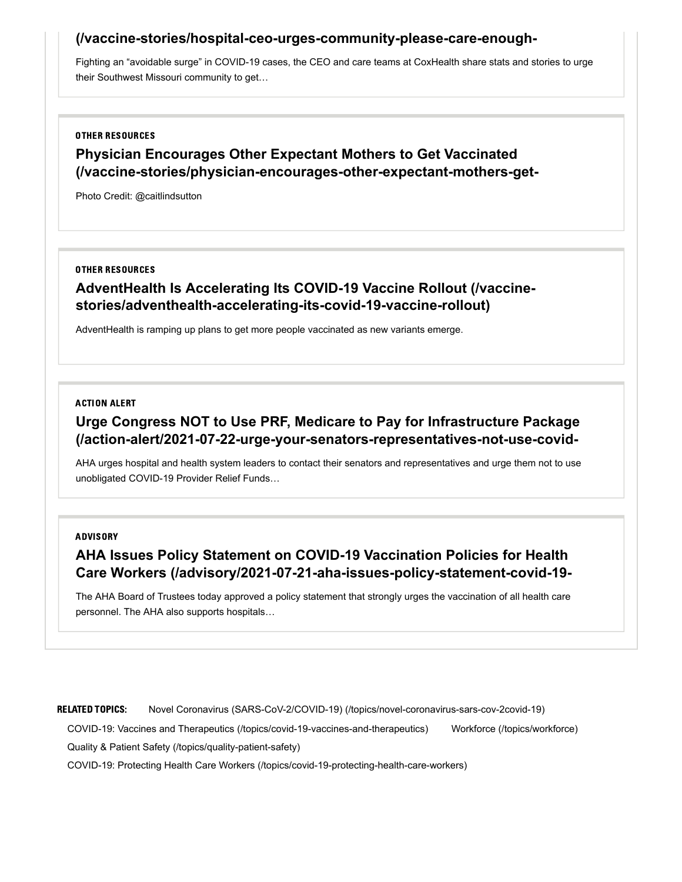#### **[\(/vaccine-stories/hospital-ceo-urges-community-please-care-enough-](https://www.aha.org/vaccine-stories/hospital-ceo-urges-community-please-care-enough-vaccinate)**

Fighting an "avoidable surge" in COVID-19 cases, the CEO and care teams at CoxHealth share stats and stories to urge their Southwest Missouri community to get…

#### OTHER RESOURCES

### **Physician Encourages Other Expectant Mothers to Get Vaccinated [\(/vaccine-stories/physician-encourages-other-expectant-mothers-get-](https://www.aha.org/vaccine-stories/physician-encourages-other-expectant-mothers-get-vaccinated)**

Photo Credit: @caitlindsutton

#### OTHER RESOURCES

### **AdventHealth Is Accelerating Its COVID-19 Vaccine Rollout (/vaccine[stories/adventhealth-accelerating-its-covid-19-vaccine-rollout\)](https://www.aha.org/vaccine-stories/adventhealth-accelerating-its-covid-19-vaccine-rollout)**

AdventHealth is ramping up plans to get more people vaccinated as new variants emerge.

#### ACTION ALERT

### **Urge Congress NOT to Use PRF, Medicare to Pay for Infrastructure Package [\(/action-alert/2021-07-22-urge-your-senators-representatives-not-use-covid-](https://www.aha.org/action-alert/2021-07-22-urge-your-senators-representatives-not-use-covid-19-provider-relief-funds)**

AHA urges hospital and health system leaders to contact their senators and representatives and urge them not to use unobligated COVID-19 Provider Relief Funds…

#### ADVISORY

### **AHA Issues Policy Statement on COVID-19 Vaccination Policies for Health Care Workers [\(/advisory/2021-07-21-aha-issues-policy-statement-covid-19-](https://www.aha.org/advisory/2021-07-21-aha-issues-policy-statement-covid-19-vaccination-policies-health-care-workers)**

The AHA Board of Trustees today approved a policy statement that strongly urges the vaccination of all health care personnel. The AHA also supports hospitals…

RELATED TOPICS: Novel Coronavirus (SARS-CoV-2/COVID-19) [\(/topics/novel-coronavirus-sars-cov-2covid-19\)](https://www.aha.org/topics/novel-coronavirus-sars-cov-2covid-19)

COVID-19: Vaccines and Therapeutics [\(/topics/covid-19-vaccines-and-therapeutics\)](https://www.aha.org/topics/covid-19-vaccines-and-therapeutics) Workforce [\(/topics/workforce\)](https://www.aha.org/topics/workforce)

Quality & Patient Safety [\(/topics/quality-patient-safety\)](https://www.aha.org/topics/quality-patient-safety)

COVID-19: Protecting Health Care Workers [\(/topics/covid-19-protecting-health-care-workers\)](https://www.aha.org/topics/covid-19-protecting-health-care-workers)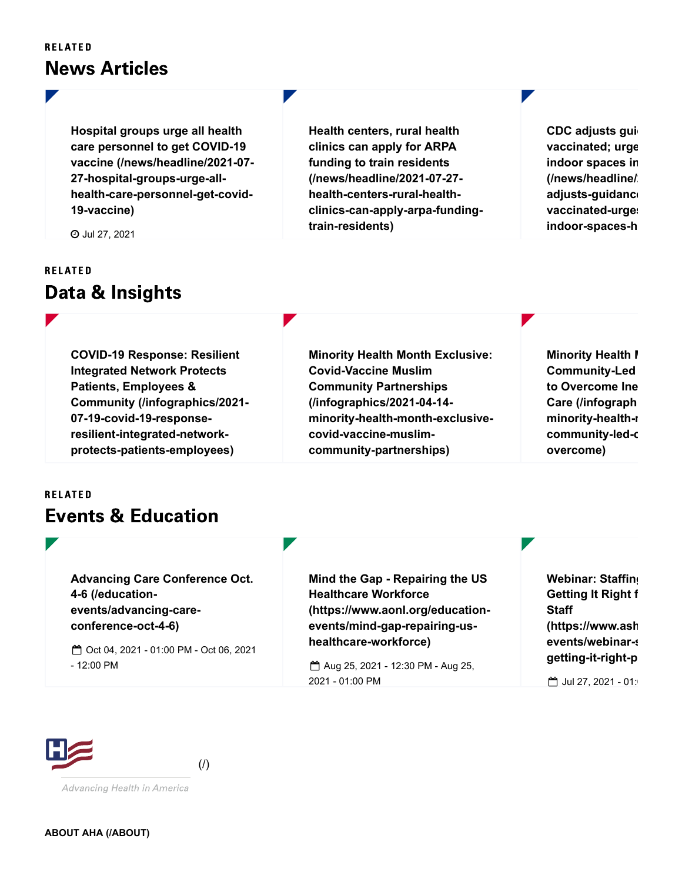**RELATED** 

# News Articles

**Hospital groups urge all health care personnel to get COVID-19 [vaccine \(/news/headline/2021-07-](https://www.aha.org/news/headline/2021-07-27-hospital-groups-urge-all-health-care-personnel-get-covid-19-vaccine) 27-hospital-groups-urge-allhealth-care-personnel-get-covid-19-vaccine)**

Jul 27, 2021

### **RELATED**

### Data & Insights

**COVID-19 Response: Resilient Integrated Network Protects Patients, Employees & [Community \(/infographics/2021-](https://www.aha.org/infographics/2021-07-19-covid-19-response-resilient-integrated-network-protects-patients-employees) 07-19-covid-19-responseresilient-integrated-networkprotects-patients-employees)**

**Health centers, rural health clinics can apply for ARPA funding to train residents (/news/headline/2021-07-27 health-centers-rural-health[clinics-can-apply-arpa-funding](https://www.aha.org/news/headline/2021-07-27-health-centers-rural-health-clinics-can-apply-arpa-funding-train-residents)train-residents)**

**[CDC adjusts guid](https://www.aha.org/news/headline/2021-07-27-cdc-adjusts-guidance-fully-vaccinated-urges-masking-indoor-spaces-hotspot) vaccinated; urge indoor spaces in (/news/headline/2 adjusts-guidance vaccinated-urges indoor-spaces-h**

**Minority Health Month Exclusive: Covid-Vaccine Muslim Community Partnerships (/infographics/2021-04-14 [minority-health-month-exclusive](https://www.aha.org/infographics/2021-04-14-minority-health-month-exclusive-covid-vaccine-muslim-community-partnerships)covid-vaccine-muslimcommunity-partnerships)**

**[Minority Health M](https://www.aha.org/infographics/2021-04-14-minority-health-month-exclusive-community-led-covid-lessons-overcome) Community-Led to Overcome Ine Care (/infograph minority-health-m community-led-c overcome)**

#### **RELATED**

# Events & Education

**[Advancing Care Conference Oct.](https://www.aha.org/education-events/advancing-care-conference-oct-4-6) 4-6 (/educationevents/advancing-careconference-oct-4-6)**

Oct 04, 2021 - 01:00 PM - Oct 06, 2021 - 12:00 PM

**Mind the Gap - Repairing the US Healthcare Workforce [\(https://www.aonl.org/education](https://www.aonl.org/education-events/mind-gap-repairing-us-healthcare-workforce)events/mind-gap-repairing-ushealthcare-workforce)**

 Aug 25, 2021 - 12:30 PM - Aug 25, 2021 - 01:00 PM

**[Webinar: Staffing](https://www.ashhra.org/education-events/webinar-staffing-levels-getting-it-right-patients-and-staff) Getting It Right f Staff (https://www.ash events/webinar-s getting-it-right-p**

 $1$  Jul 27, 2021 - 01: